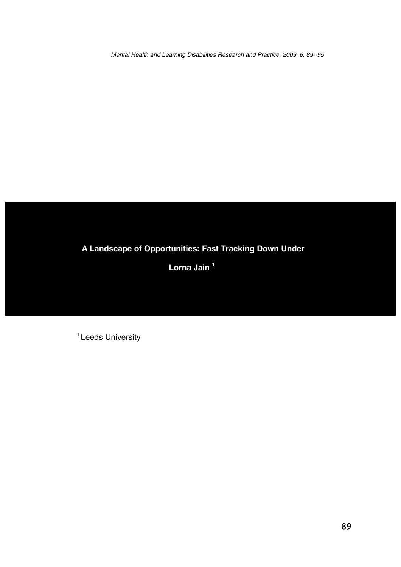Mental Health and Learning Disabilities Research and Practice, 2009, 6, 89--95

# **A Landscape of Opportunities: Fast Tracking Down Under**

**Lorna Jain <sup>1</sup>**

<sup>1</sup> Leeds University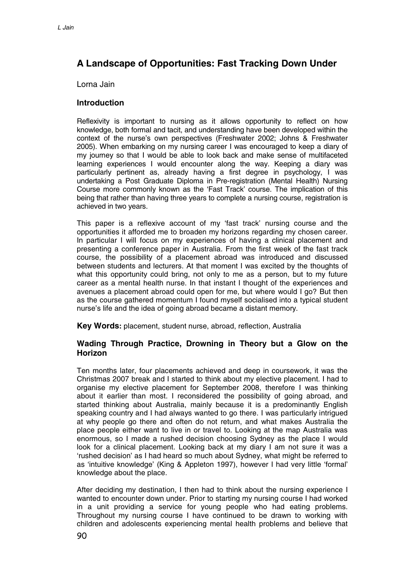# **A Landscape of Opportunities: Fast Tracking Down Under**

## Lorna Jain

## **Introduction**

Reflexivity is important to nursing as it allows opportunity to reflect on how knowledge, both formal and tacit, and understanding have been developed within the context of the nurse's own perspectives (Freshwater 2002; Johns & Freshwater 2005). When embarking on my nursing career I was encouraged to keep a diary of my journey so that I would be able to look back and make sense of multifaceted learning experiences I would encounter along the way. Keeping a diary was particularly pertinent as, already having a first degree in psychology, I was undertaking a Post Graduate Diploma in Pre-registration (Mental Health) Nursing Course more commonly known as the 'Fast Track' course. The implication of this being that rather than having three years to complete a nursing course, registration is achieved in two years.

This paper is a reflexive account of my 'fast track' nursing course and the opportunities it afforded me to broaden my horizons regarding my chosen career. In particular I will focus on my experiences of having a clinical placement and presenting a conference paper in Australia. From the first week of the fast track course, the possibility of a placement abroad was introduced and discussed between students and lecturers. At that moment I was excited by the thoughts of what this opportunity could bring, not only to me as a person, but to my future career as a mental health nurse. In that instant I thought of the experiences and avenues a placement abroad could open for me, but where would I go? But then as the course gathered momentum I found myself socialised into a typical student nurse's life and the idea of going abroad became a distant memory.

**Key Words:** placement, student nurse, abroad, reflection, Australia

## **Wading Through Practice, Drowning in Theory but a Glow on the Horizon**

Ten months later, four placements achieved and deep in coursework, it was the Christmas 2007 break and I started to think about my elective placement. I had to organise my elective placement for September 2008, therefore I was thinking about it earlier than most. I reconsidered the possibility of going abroad, and started thinking about Australia, mainly because it is a predominantly English speaking country and I had always wanted to go there. I was particularly intrigued at why people go there and often do not return, and what makes Australia the place people either want to live in or travel to. Looking at the map Australia was enormous, so I made a rushed decision choosing Sydney as the place I would look for a clinical placement. Looking back at my diary I am not sure it was a 'rushed decision' as I had heard so much about Sydney, what might be referred to as 'intuitive knowledge' (King & Appleton 1997), however I had very little 'formal' knowledge about the place.

After deciding my destination, I then had to think about the nursing experience I wanted to encounter down under. Prior to starting my nursing course I had worked in a unit providing a service for young people who had eating problems. Throughout my nursing course I have continued to be drawn to working with children and adolescents experiencing mental health problems and believe that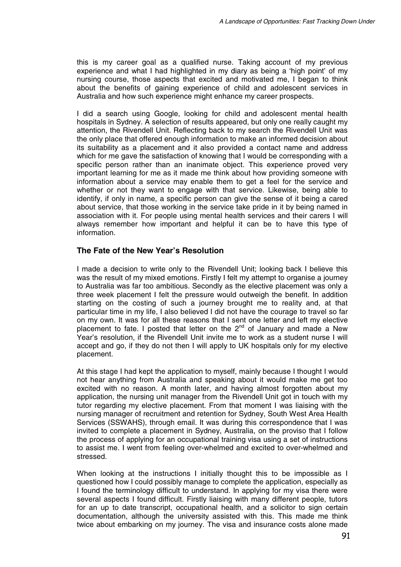this is my career goal as a qualified nurse. Taking account of my previous experience and what I had highlighted in my diary as being a 'high point' of my nursing course, those aspects that excited and motivated me, I began to think about the benefits of gaining experience of child and adolescent services in Australia and how such experience might enhance my career prospects.

I did a search using Google, looking for child and adolescent mental health hospitals in Sydney. A selection of results appeared, but only one really caught my attention, the Rivendell Unit. Reflecting back to my search the Rivendell Unit was the only place that offered enough information to make an informed decision about its suitability as a placement and it also provided a contact name and address which for me gave the satisfaction of knowing that I would be corresponding with a specific person rather than an inanimate object. This experience proved very important learning for me as it made me think about how providing someone with information about a service may enable them to get a feel for the service and whether or not they want to engage with that service. Likewise, being able to identify, if only in name, a specific person can give the sense of it being a cared about service, that those working in the service take pride in it by being named in association with it. For people using mental health services and their carers I will always remember how important and helpful it can be to have this type of information.

#### **The Fate of the New Year's Resolution**

I made a decision to write only to the Rivendell Unit; looking back I believe this was the result of my mixed emotions. Firstly I felt my attempt to organise a journey to Australia was far too ambitious. Secondly as the elective placement was only a three week placement I felt the pressure would outweigh the benefit. In addition starting on the costing of such a journey brought me to reality and, at that particular time in my life, I also believed I did not have the courage to travel so far on my own. It was for all these reasons that I sent one letter and left my elective placement to fate. I posted that letter on the  $2^{nd}$  of January and made a New Year's resolution, if the Rivendell Unit invite me to work as a student nurse I will accept and go, if they do not then I will apply to UK hospitals only for my elective placement.

At this stage I had kept the application to myself, mainly because I thought I would not hear anything from Australia and speaking about it would make me get too excited with no reason. A month later, and having almost forgotten about my application, the nursing unit manager from the Rivendell Unit got in touch with my tutor regarding my elective placement. From that moment I was liaising with the nursing manager of recruitment and retention for Sydney, South West Area Health Services (SSWAHS), through email. It was during this correspondence that I was invited to complete a placement in Sydney, Australia, on the proviso that I follow the process of applying for an occupational training visa using a set of instructions to assist me. I went from feeling over-whelmed and excited to over-whelmed and stressed.

When looking at the instructions I initially thought this to be impossible as I questioned how I could possibly manage to complete the application, especially as I found the terminology difficult to understand. In applying for my visa there were several aspects I found difficult. Firstly liaising with many different people, tutors for an up to date transcript, occupational health, and a solicitor to sign certain documentation, although the university assisted with this. This made me think twice about embarking on my journey. The visa and insurance costs alone made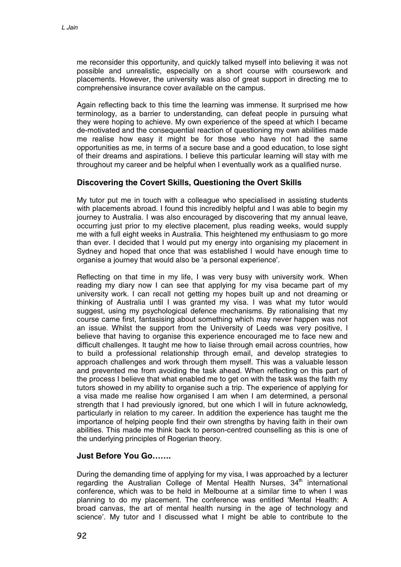me reconsider this opportunity, and quickly talked myself into believing it was not possible and unrealistic, especially on a short course with coursework and placements. However, the university was also of great support in directing me to comprehensive insurance cover available on the campus.

Again reflecting back to this time the learning was immense. It surprised me how terminology, as a barrier to understanding, can defeat people in pursuing what they were hoping to achieve. My own experience of the speed at which I became de-motivated and the consequential reaction of questioning my own abilities made me realise how easy it might be for those who have not had the same opportunities as me, in terms of a secure base and a good education, to lose sight of their dreams and aspirations. I believe this particular learning will stay with me throughout my career and be helpful when I eventually work as a qualified nurse.

## **Discovering the Covert Skills, Questioning the Overt Skills**

My tutor put me in touch with a colleague who specialised in assisting students with placements abroad. I found this incredibly helpful and I was able to begin my journey to Australia. I was also encouraged by discovering that my annual leave, occurring just prior to my elective placement, plus reading weeks, would supply me with a full eight weeks in Australia. This heightened my enthusiasm to go more than ever. I decided that I would put my energy into organising my placement in Sydney and hoped that once that was established I would have enough time to organise a journey that would also be 'a personal experience'.

Reflecting on that time in my life, I was very busy with university work. When reading my diary now I can see that applying for my visa became part of my university work. I can recall not getting my hopes built up and not dreaming or thinking of Australia until I was granted my visa. I was what my tutor would suggest, using my psychological defence mechanisms. By rationalising that my course came first, fantasising about something which may never happen was not an issue. Whilst the support from the University of Leeds was very positive, I believe that having to organise this experience encouraged me to face new and difficult challenges. It taught me how to liaise through email across countries, how to build a professional relationship through email, and develop strategies to approach challenges and work through them myself. This was a valuable lesson and prevented me from avoiding the task ahead. When reflecting on this part of the process I believe that what enabled me to get on with the task was the faith my tutors showed in my ability to organise such a trip. The experience of applying for a visa made me realise how organised I am when I am determined, a personal strength that I had previously ignored, but one which I will in future acknowledg, particularly in relation to my career. In addition the experience has taught me the importance of helping people find their own strengths by having faith in their own abilities. This made me think back to person-centred counselling as this is one of the underlying principles of Rogerian theory.

#### **Just Before You Go…….**

During the demanding time of applying for my visa, I was approached by a lecturer regarding the Australian College of Mental Health Nurses,  $34<sup>th</sup>$  international conference, which was to be held in Melbourne at a similar time to when I was planning to do my placement. The conference was entitled 'Mental Health: A broad canvas, the art of mental health nursing in the age of technology and science'. My tutor and I discussed what I might be able to contribute to the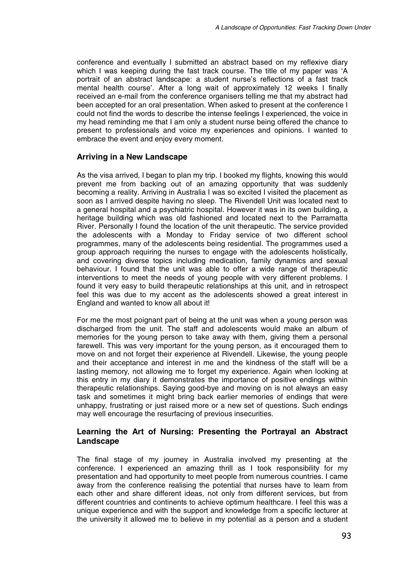conference and eventually I submitted an abstract based on my reflexive diary which I was keeping during the fast track course. The title of my paper was 'A portrait of an abstract landscape: a student nurse's reflections of a fast track mental health course'. After a long wait of approximately 12 weeks I finally received an e-mail from the conference organisers telling me that my abstract had been accepted for an oral presentation. When asked to present at the conference I could not find the words to describe the intense feelings I experienced, the voice in my head reminding me that I am only a student nurse being offered the chance to present to professionals and voice my experiences and opinions. I wanted to embrace the event and enjoy every moment.

## **Arriving in a New Landscape**

As the visa arrived, I began to plan my trip. I booked my flights, knowing this would prevent me from backing out of an amazing opportunity that was suddenly becoming a reality. Arriving in Australia I was so excited I visited the placement as soon as I arrived despite having no sleep. The Rivendell Unit was located next to a general hospital and a psychiatric hospital. However it was in its own building, a heritage building which was old fashioned and located next to the Parramatta River. Personally I found the location of the unit therapeutic. The service provided the adolescents with a Monday to Friday service of two different school programmes, many of the adolescents being residential. The programmes used a group approach requiring the nurses to engage with the adolescents holistically, and covering diverse topics including medication, family dynamics and sexual behaviour. I found that the unit was able to offer a wide range of therapeutic interventions to meet the needs of young people with very different problems. I found it very easy to build therapeutic relationships at this unit, and in retrospect feel this was due to my accent as the adolescents showed a great interest in England and wanted to know all about it!

For me the most poignant part of being at the unit was when a young person was discharged from the unit. The staff and adolescents would make an album of memories for the young person to take away with them, giving them a personal farewell. This was very important for the young person, as it encouraged them to move on and not forget their experience at Rivendell. Likewise, the young people and their acceptance and interest in me and the kindness of the staff will be a lasting memory, not allowing me to forget my experience. Again when looking at this entry in my diary it demonstrates the importance of positive endings within therapeutic relationships. Saying good-bye and moving on is not always an easy task and sometimes it might bring back earlier memories of endings that were unhappy, frustrating or just raised more or a new set of questions. Such endings may well encourage the resurfacing of previous insecurities.

## **Learning the Art of Nursing: Presenting the Portrayal an Abstract Landscape**

The final stage of my journey in Australia involved my presenting at the conference. I experienced an amazing thrill as I took responsibility for my presentation and had opportunity to meet people from numerous countries. I came away from the conference realising the potential that nurses have to learn from each other and share different ideas, not only from different services, but from different countries and continents to achieve optimum healthcare. I feel this was a unique experience and with the support and knowledge from a specific lecturer at the university it allowed me to believe in my potential as a person and a student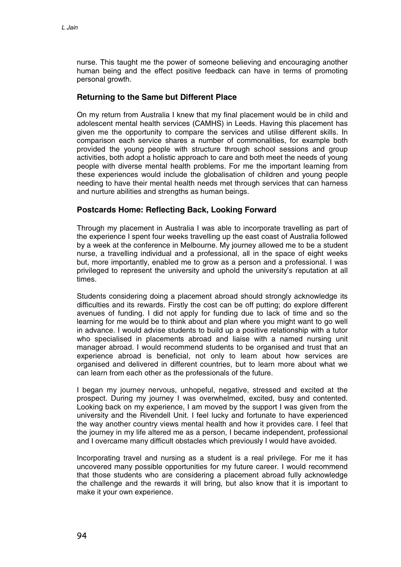nurse. This taught me the power of someone believing and encouraging another human being and the effect positive feedback can have in terms of promoting personal growth.

# **Returning to the Same but Different Place**

On my return from Australia I knew that my final placement would be in child and adolescent mental health services (CAMHS) in Leeds. Having this placement has given me the opportunity to compare the services and utilise different skills. In comparison each service shares a number of commonalities, for example both provided the young people with structure through school sessions and group activities, both adopt a holistic approach to care and both meet the needs of young people with diverse mental health problems. For me the important learning from these experiences would include the globalisation of children and young people needing to have their mental health needs met through services that can harness and nurture abilities and strengths as human beings.

## **Postcards Home: Reflecting Back, Looking Forward**

Through my placement in Australia I was able to incorporate travelling as part of the experience I spent four weeks travelling up the east coast of Australia followed by a week at the conference in Melbourne. My journey allowed me to be a student nurse, a travelling individual and a professional, all in the space of eight weeks but, more importantly, enabled me to grow as a person and a professional. I was privileged to represent the university and uphold the university's reputation at all times.

Students considering doing a placement abroad should strongly acknowledge its difficulties and its rewards. Firstly the cost can be off putting; do explore different avenues of funding. I did not apply for funding due to lack of time and so the learning for me would be to think about and plan where you might want to go well in advance. I would advise students to build up a positive relationship with a tutor who specialised in placements abroad and liaise with a named nursing unit manager abroad. I would recommend students to be organised and trust that an experience abroad is beneficial, not only to learn about how services are organised and delivered in different countries, but to learn more about what we can learn from each other as the professionals of the future.

I began my journey nervous, unhopeful, negative, stressed and excited at the prospect. During my journey I was overwhelmed, excited, busy and contented. Looking back on my experience, I am moved by the support I was given from the university and the Rivendell Unit. I feel lucky and fortunate to have experienced the way another country views mental health and how it provides care. I feel that the journey in my life altered me as a person, I became independent, professional and I overcame many difficult obstacles which previously I would have avoided.

Incorporating travel and nursing as a student is a real privilege. For me it has uncovered many possible opportunities for my future career. I would recommend that those students who are considering a placement abroad fully acknowledge the challenge and the rewards it will bring, but also know that it is important to make it your own experience.